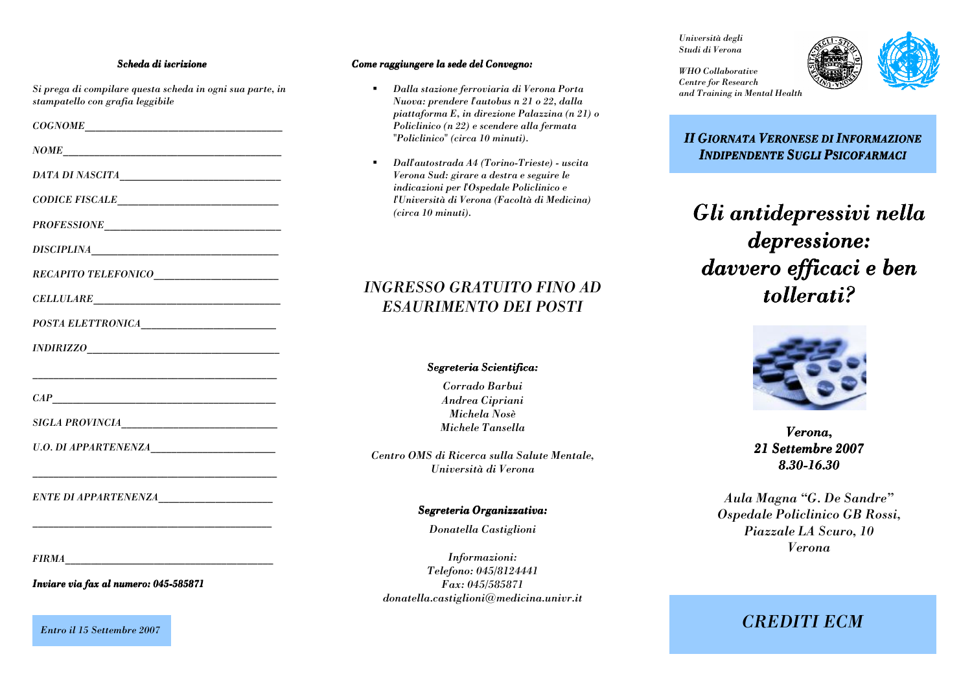#### Scheda di iscrizione

Si prega di compilare questa scheda in ogni sua parte, in

stampatello con grafia leggibile

 $\textit{NOME}$ 

DATA DI NASCITA

 $\begin{tabular}{c} \bf{CODE FISCALE} \\ \end{tabular}$ 

PROFESSIONE

**CELLULARE** 

POSTA ELETTRONICA

SIGLA PROVINCIA

**U.O. DI APPARTENENZA** 

**ENTE DI APPARTENENZA** 

**FIRMA** 

Inviare via fax al numero: 045-585871

**Entro il 15 Settembre 2007** 

#### Come raggiungere la sede del Convegno:

- Dalla stazione ferroviaria di Verona Porta Nuova: prendere l'autobus n 21 o 22, dalla piattaforma E, in direzione Palazzina (n 21) o Policlinico (n 22) e scendere alla fermata "Policlinico" (circa 10 minuti).
- Dall'autostrada A4 (Torino-Trieste) uscita Verona Sud: girare a destra e seguire le indicazioni per l'Ospedale Policlinico e l'Università di Verona (Facoltà di Medicina)  $(circa 10 minuti)$ .

# **INGRESSO GRATUITO FINO AD ESAURIMENTO DEI POSTI**

#### Segreteria Scientifica:

Corrado Barbui Andrea Cipriani Michela Nosè Michele Tansella

Centro OMS di Ricerca sulla Salute Mentale. Università di Verona

### Segreteria Organizzativa:

Donatella Castiglioni

Informazioni: Telefono: 045/8124441 Fax: 045/585871  $donatella.castiglioni@medicina.univr.it$  Università degli Studi di Verona

**WHO** Collaborative



**Centre for Research** and Training in Mental Health

**II GIORNATA VERONESE DI INFORMAZIONE INDIPENDENTE SUGLI PSICOFARMACI** 

Gli antidepressivi nella depressione: davvero efficaci e ben tollerati?



Verona. 21 Settembre 2007 8.30-16.30

Aula Magna "G. De Sandre" Ospedale Policlinico GB Rossi, Piazzale LA Scuro, 10 **Verona** 

# **CREDITI ECM**